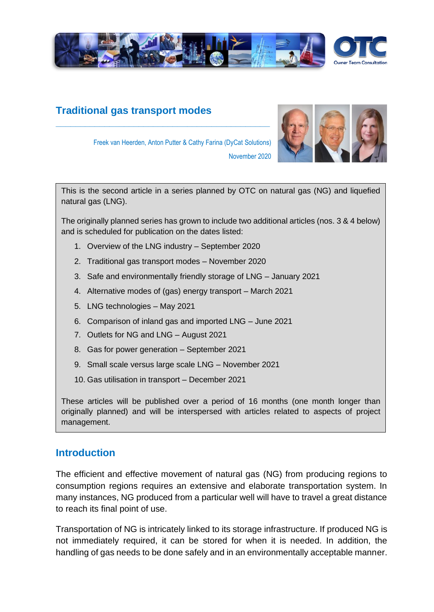

# **Traditional gas transport modes**



Freek van Heerden, Anton Putter & Cathy Farina (DyCat Solutions)

**\_\_\_\_\_\_\_\_\_\_\_\_\_\_\_\_\_\_\_\_\_\_\_\_\_\_\_\_\_\_\_\_\_\_\_\_\_\_\_\_\_\_\_\_**

This is the second article in a series planned by OTC on natural gas (NG) and liquefied natural gas (LNG).

November 2020

The originally planned series has grown to include two additional articles (nos. 3 & 4 below) and is scheduled for publication on the dates listed:

- 1. Overview of the LNG industry September 2020
- 2. Traditional gas transport modes November 2020
- 3. Safe and environmentally friendly storage of LNG January 2021
- 4. Alternative modes of (gas) energy transport March 2021
- 5. LNG technologies May 2021
- 6. Comparison of inland gas and imported LNG June 2021
- 7. Outlets for NG and LNG August 2021
- 8. Gas for power generation September 2021
- 9. Small scale versus large scale LNG November 2021
- 10. Gas utilisation in transport December 2021

These articles will be published over a period of 16 months (one month longer than originally planned) and will be interspersed with articles related to aspects of project management.

### **Introduction**

The efficient and effective movement of natural gas (NG) from producing regions to consumption regions requires an extensive and elaborate transportation system. In many instances, NG produced from a particular well will have to travel a great distance to reach its final point of use.

Transportation of NG is intricately linked to its storage infrastructure. If produced NG is not immediately required, it can be stored for when it is needed. In addition, the handling of gas needs to be done safely and in an environmentally acceptable manner.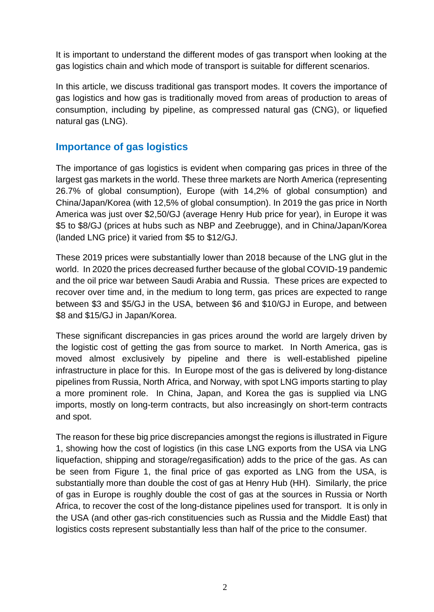It is important to understand the different modes of gas transport when looking at the gas logistics chain and which mode of transport is suitable for different scenarios.

In this article, we discuss traditional gas transport modes. It covers the importance of gas logistics and how gas is traditionally moved from areas of production to areas of consumption, including by pipeline, as compressed natural gas (CNG), or liquefied natural gas (LNG).

## **Importance of gas logistics**

The importance of gas logistics is evident when comparing gas prices in three of the largest gas markets in the world. These three markets are North America (representing 26.7% of global consumption), Europe (with 14,2% of global consumption) and China/Japan/Korea (with 12,5% of global consumption). In 2019 the gas price in North America was just over \$2,50/GJ (average Henry Hub price for year), in Europe it was \$5 to \$8/GJ (prices at hubs such as NBP and Zeebrugge), and in China/Japan/Korea (landed LNG price) it varied from \$5 to \$12/GJ.

These 2019 prices were substantially lower than 2018 because of the LNG glut in the world. In 2020 the prices decreased further because of the global COVID-19 pandemic and the oil price war between Saudi Arabia and Russia. These prices are expected to recover over time and, in the medium to long term, gas prices are expected to range between \$3 and \$5/GJ in the USA, between \$6 and \$10/GJ in Europe, and between \$8 and \$15/GJ in Japan/Korea.

These significant discrepancies in gas prices around the world are largely driven by the logistic cost of getting the gas from source to market. In North America, gas is moved almost exclusively by pipeline and there is well-established pipeline infrastructure in place for this. In Europe most of the gas is delivered by long-distance pipelines from Russia, North Africa, and Norway, with spot LNG imports starting to play a more prominent role. In China, Japan, and Korea the gas is supplied via LNG imports, mostly on long-term contracts, but also increasingly on short-term contracts and spot.

The reason for these big price discrepancies amongst the regions is illustrated in Figure 1, showing how the cost of logistics (in this case LNG exports from the USA via LNG liquefaction, shipping and storage/regasification) adds to the price of the gas. As can be seen from Figure 1, the final price of gas exported as LNG from the USA, is substantially more than double the cost of gas at Henry Hub (HH). Similarly, the price of gas in Europe is roughly double the cost of gas at the sources in Russia or North Africa, to recover the cost of the long-distance pipelines used for transport. It is only in the USA (and other gas-rich constituencies such as Russia and the Middle East) that logistics costs represent substantially less than half of the price to the consumer.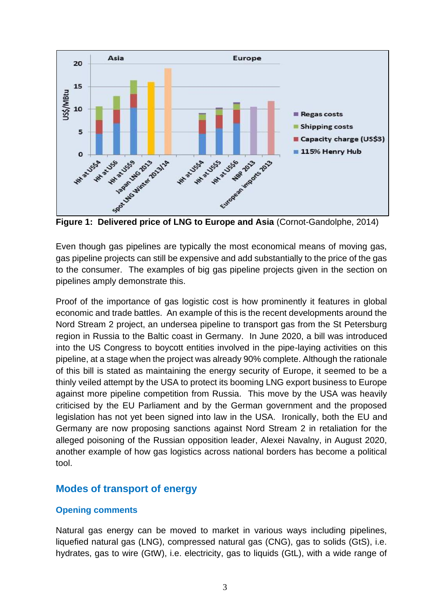

Even though gas pipelines are typically the most economical means of moving gas, gas pipeline projects can still be expensive and add substantially to the price of the gas to the consumer. The examples of big gas pipeline projects given in the section on pipelines amply demonstrate this.

Proof of the importance of gas logistic cost is how prominently it features in global economic and trade battles. An example of this is the recent developments around the Nord Stream 2 project, an undersea pipeline to transport gas from the St Petersburg region in Russia to the Baltic coast in Germany. In June 2020, a bill was introduced into the US Congress to boycott entities involved in the pipe-laying activities on this pipeline, at a stage when the project was already 90% complete. Although the rationale of this bill is stated as maintaining the energy security of Europe, it seemed to be a thinly veiled attempt by the USA to protect its booming LNG export business to Europe against more pipeline competition from Russia. This move by the USA was heavily criticised by the EU Parliament and by the German government and the proposed legislation has not yet been signed into law in the USA. Ironically, both the EU and Germany are now proposing sanctions against Nord Stream 2 in retaliation for the alleged poisoning of the Russian opposition leader, Alexei Navalny, in August 2020, another example of how gas logistics across national borders has become a political tool.

### **Modes of transport of energy**

### **Opening comments**

Natural gas energy can be moved to market in various ways including pipelines, liquefied natural gas (LNG), compressed natural gas (CNG), gas to solids (GtS), i.e. hydrates, gas to wire (GtW), i.e. electricity, gas to liquids (GtL), with a wide range of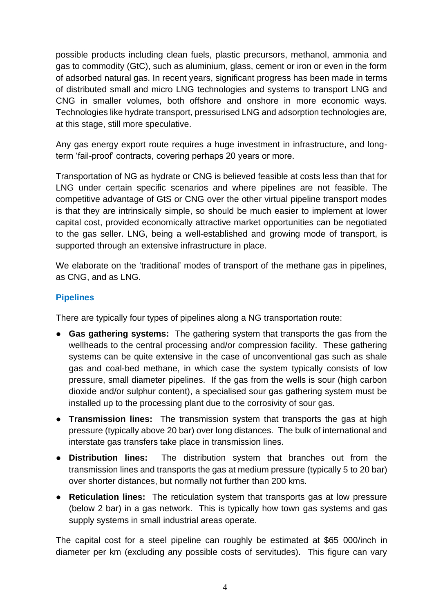possible products including clean fuels, plastic precursors, methanol, ammonia and gas to commodity (GtC), such as aluminium, glass, cement or iron or even in the form of adsorbed natural gas. In recent years, significant progress has been made in terms of distributed small and micro LNG technologies and systems to transport LNG and CNG in smaller volumes, both offshore and onshore in more economic ways. Technologies like hydrate transport, pressurised LNG and adsorption technologies are, at this stage, still more speculative.

Any gas energy export route requires a huge investment in infrastructure, and longterm 'fail-proof' contracts, covering perhaps 20 years or more.

Transportation of NG as hydrate or CNG is believed feasible at costs less than that for LNG under certain specific scenarios and where pipelines are not feasible. The competitive advantage of GtS or CNG over the other virtual pipeline transport modes is that they are intrinsically simple, so should be much easier to implement at lower capital cost, provided economically attractive market opportunities can be negotiated to the gas seller. LNG, being a well-established and growing mode of transport, is supported through an extensive infrastructure in place.

We elaborate on the 'traditional' modes of transport of the methane gas in pipelines, as CNG, and as LNG.

### **Pipelines**

There are typically four types of pipelines along a NG transportation route:

- **Gas gathering systems:** The gathering system that transports the gas from the wellheads to the central processing and/or compression facility. These gathering systems can be quite extensive in the case of unconventional gas such as shale gas and coal-bed methane, in which case the system typically consists of low pressure, small diameter pipelines. If the gas from the wells is sour (high carbon dioxide and/or sulphur content), a specialised sour gas gathering system must be installed up to the processing plant due to the corrosivity of sour gas.
- **Transmission lines:** The transmission system that transports the gas at high pressure (typically above 20 bar) over long distances. The bulk of international and interstate gas transfers take place in transmission lines.
- **Distribution lines:** The distribution system that branches out from the transmission lines and transports the gas at medium pressure (typically 5 to 20 bar) over shorter distances, but normally not further than 200 kms.
- **Reticulation lines:** The reticulation system that transports gas at low pressure (below 2 bar) in a gas network. This is typically how town gas systems and gas supply systems in small industrial areas operate.

The capital cost for a steel pipeline can roughly be estimated at \$65 000/inch in diameter per km (excluding any possible costs of servitudes). This figure can vary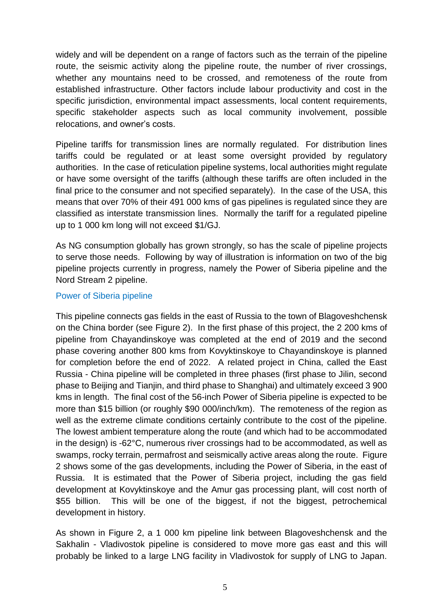widely and will be dependent on a range of factors such as the terrain of the pipeline route, the seismic activity along the pipeline route, the number of river crossings, whether any mountains need to be crossed, and remoteness of the route from established infrastructure. Other factors include labour productivity and cost in the specific jurisdiction, environmental impact assessments, local content requirements, specific stakeholder aspects such as local community involvement, possible relocations, and owner's costs.

Pipeline tariffs for transmission lines are normally regulated. For distribution lines tariffs could be regulated or at least some oversight provided by regulatory authorities. In the case of reticulation pipeline systems, local authorities might regulate or have some oversight of the tariffs (although these tariffs are often included in the final price to the consumer and not specified separately). In the case of the USA, this means that over 70% of their 491 000 kms of gas pipelines is regulated since they are classified as interstate transmission lines. Normally the tariff for a regulated pipeline up to 1 000 km long will not exceed \$1/GJ.

As NG consumption globally has grown strongly, so has the scale of pipeline projects to serve those needs. Following by way of illustration is information on two of the big pipeline projects currently in progress, namely the Power of Siberia pipeline and the Nord Stream 2 pipeline.

#### Power of Siberia pipeline

This pipeline connects gas fields in the east of Russia to the town of Blagoveshchensk on the China border (see Figure 2). In the first phase of this project, the 2 200 kms of pipeline from Chayandinskoye was completed at the end of 2019 and the second phase covering another 800 kms from Kovyktinskoye to Chayandinskoye is planned for completion before the end of 2022. A related project in China, called the East Russia - China pipeline will be completed in three phases (first phase to Jilin, second phase to Beijing and Tianjin, and third phase to Shanghai) and ultimately exceed 3 900 kms in length. The final cost of the 56-inch Power of Siberia pipeline is expected to be more than \$15 billion (or roughly \$90 000/inch/km). The remoteness of the region as well as the extreme climate conditions certainly contribute to the cost of the pipeline. The lowest ambient temperature along the route (and which had to be accommodated in the design) is -62°C, numerous river crossings had to be accommodated, as well as swamps, rocky terrain, permafrost and seismically active areas along the route. Figure 2 shows some of the gas developments, including the Power of Siberia, in the east of Russia. It is estimated that the Power of Siberia project, including the gas field development at Kovyktinskoye and the Amur gas processing plant, will cost north of \$55 billion. This will be one of the biggest, if not the biggest, petrochemical development in history.

As shown in Figure 2, a 1 000 km pipeline link between Blagoveshchensk and the Sakhalin - Vladivostok pipeline is considered to move more gas east and this will probably be linked to a large LNG facility in Vladivostok for supply of LNG to Japan.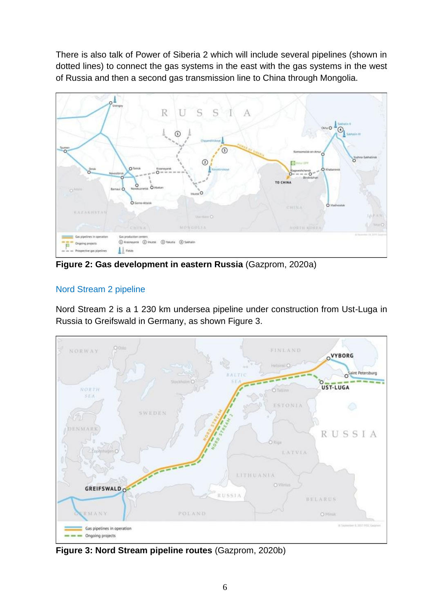There is also talk of Power of Siberia 2 which will include several pipelines (shown in dotted lines) to connect the gas systems in the east with the gas systems in the west of Russia and then a second gas transmission line to China through Mongolia.



**Figure 2: Gas development in eastern Russia** (Gazprom, 2020a)

## Nord Stream 2 pipeline

Nord Stream 2 is a 1 230 km undersea pipeline under construction from Ust-Luga in Russia to Greifswald in Germany, as shown Figure 3.



**Figure 3: Nord Stream pipeline routes** (Gazprom, 2020b)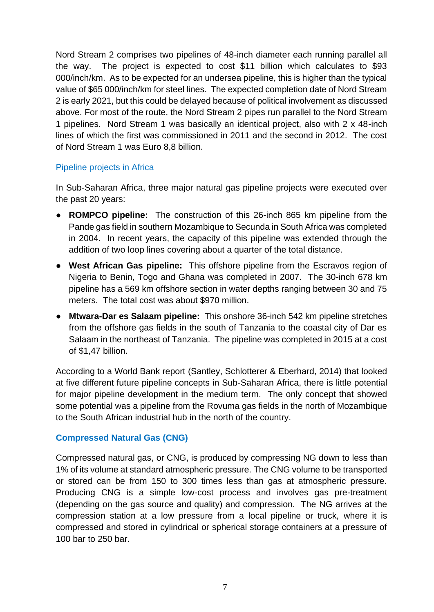Nord Stream 2 comprises two pipelines of 48-inch diameter each running parallel all the way. The project is expected to cost \$11 billion which calculates to \$93 000/inch/km. As to be expected for an undersea pipeline, this is higher than the typical value of \$65 000/inch/km for steel lines. The expected completion date of Nord Stream 2 is early 2021, but this could be delayed because of political involvement as discussed above. For most of the route, the Nord Stream 2 pipes run parallel to the Nord Stream 1 pipelines. Nord Stream 1 was basically an identical project, also with 2 x 48-inch lines of which the first was commissioned in 2011 and the second in 2012. The cost of Nord Stream 1 was Euro 8,8 billion.

#### Pipeline projects in Africa

In Sub-Saharan Africa, three major natural gas pipeline projects were executed over the past 20 years:

- **ROMPCO pipeline:** The construction of this 26-inch 865 km pipeline from the Pande gas field in southern Mozambique to Secunda in South Africa was completed in 2004. In recent years, the capacity of this pipeline was extended through the addition of two loop lines covering about a quarter of the total distance.
- **West African Gas pipeline:** This offshore pipeline from the Escravos region of Nigeria to Benin, Togo and Ghana was completed in 2007. The 30-inch 678 km pipeline has a 569 km offshore section in water depths ranging between 30 and 75 meters. The total cost was about \$970 million.
- **Mtwara-Dar es Salaam pipeline:** This onshore 36-inch 542 km pipeline stretches from the offshore gas fields in the south of Tanzania to the coastal city of Dar es Salaam in the northeast of Tanzania. The pipeline was completed in 2015 at a cost of \$1,47 billion.

According to a World Bank report (Santley, Schlotterer & Eberhard, 2014) that looked at five different future pipeline concepts in Sub-Saharan Africa, there is little potential for major pipeline development in the medium term. The only concept that showed some potential was a pipeline from the Rovuma gas fields in the north of Mozambique to the South African industrial hub in the north of the country.

### **Compressed Natural Gas (CNG)**

Compressed natural gas, or CNG, is produced by compressing NG down to less than 1% of its volume at standard atmospheric pressure. The CNG volume to be transported or stored can be from 150 to 300 times less than gas at atmospheric pressure. Producing CNG is a simple low-cost process and involves gas pre-treatment (depending on the gas source and quality) and compression. The NG arrives at the compression station at a low pressure from a local pipeline or truck, where it is compressed and stored in cylindrical or spherical storage containers at a pressure of 100 bar to 250 bar.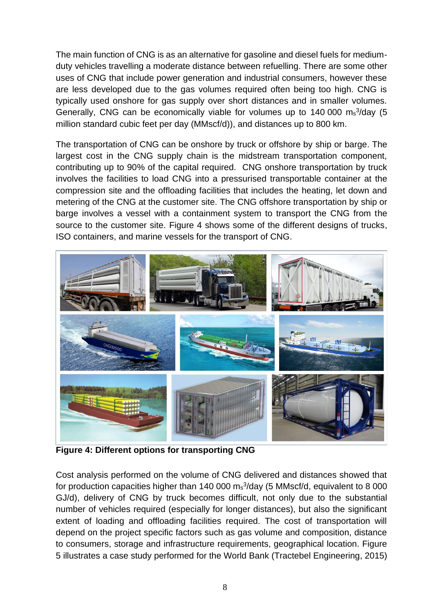The main function of CNG is as an alternative for gasoline and diesel fuels for mediumduty vehicles travelling a moderate distance between refuelling. There are some other uses of CNG that include power generation and industrial consumers, however these are less developed due to the gas volumes required often being too high. CNG is typically used onshore for gas supply over short distances and in smaller volumes. Generally, CNG can be economically viable for volumes up to 140 000 ms<sup>3</sup>/day (5 million standard cubic feet per day (MMscf/d)), and distances up to 800 km.

The transportation of CNG can be onshore by truck or offshore by ship or barge. The largest cost in the CNG supply chain is the midstream transportation component, contributing up to 90% of the capital required. CNG onshore transportation by truck involves the facilities to load CNG into a pressurised transportable container at the compression site and the offloading facilities that includes the heating, let down and metering of the CNG at the customer site. The CNG offshore transportation by ship or barge involves a vessel with a containment system to transport the CNG from the source to the customer site. Figure 4 shows some of the different designs of trucks, ISO containers, and marine vessels for the transport of CNG.



**Figure 4: Different options for transporting CNG**

Cost analysis performed on the volume of CNG delivered and distances showed that for production capacities higher than 140 000  $\text{m}_s$ <sup>3</sup>/day (5 MMscf/d, equivalent to 8 000 GJ/d), delivery of CNG by truck becomes difficult, not only due to the substantial number of vehicles required (especially for longer distances), but also the significant extent of loading and offloading facilities required. The cost of transportation will depend on the project specific factors such as gas volume and composition, distance to consumers, storage and infrastructure requirements, geographical location. Figure 5 illustrates a case study performed for the World Bank (Tractebel Engineering, 2015)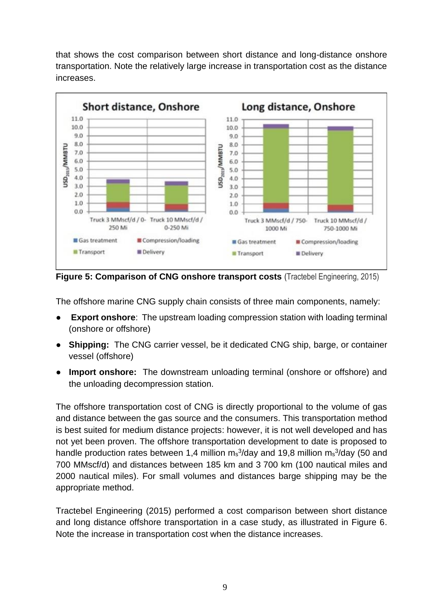that shows the cost comparison between short distance and long-distance onshore transportation. Note the relatively large increase in transportation cost as the distance increases.



**Figure 5: Comparison of CNG onshore transport costs** (Tractebel Engineering, 2015)

The offshore marine CNG supply chain consists of three main components, namely:

- **Export onshore**: The upstream loading compression station with loading terminal (onshore or offshore)
- **Shipping:** The CNG carrier vessel, be it dedicated CNG ship, barge, or container vessel (offshore)
- **Import onshore:** The downstream unloading terminal (onshore or offshore) and the unloading decompression station.

The offshore transportation cost of CNG is directly proportional to the volume of gas and distance between the gas source and the consumers. This transportation method is best suited for medium distance projects: however, it is not well developed and has not yet been proven. The offshore transportation development to date is proposed to handle production rates between 1,4 million  $\text{m}_s$ <sup>3</sup>/day and 19,8 million  $\text{m}_s$ <sup>3</sup>/day (50 and 700 MMscf/d) and distances between 185 km and 3 700 km (100 nautical miles and 2000 nautical miles). For small volumes and distances barge shipping may be the appropriate method.

Tractebel Engineering (2015) performed a cost comparison between short distance and long distance offshore transportation in a case study, as illustrated in Figure 6. Note the increase in transportation cost when the distance increases.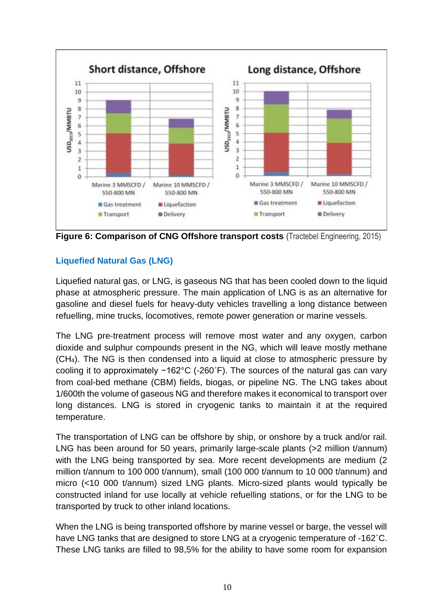

**Figure 6: Comparison of CNG Offshore transport costs** (Tractebel Engineering, 2015)

## **Liquefied Natural Gas (LNG)**

Liquefied natural gas, or LNG, is gaseous NG that has been cooled down to the liquid phase at atmospheric pressure. The main application of LNG is as an alternative for gasoline and diesel fuels for heavy-duty vehicles travelling a long distance between refuelling, mine trucks, locomotives, remote power generation or marine vessels.

The LNG pre-treatment process will remove most water and any oxygen, carbon dioxide and sulphur compounds present in the NG, which will leave mostly methane (CH4). The NG is then condensed into a liquid at close to atmospheric pressure by cooling it to approximately −162°C (-260˚F). The sources of the natural gas can vary from coal-bed methane (CBM) fields, biogas, or pipeline NG. The LNG takes about 1/600th the volume of gaseous NG and therefore makes it economical to transport over long distances. LNG is stored in cryogenic tanks to maintain it at the required temperature.

The transportation of LNG can be offshore by ship, or onshore by a truck and/or rail. LNG has been around for 50 years, primarily large-scale plants (>2 million t/annum) with the LNG being transported by sea. More recent developments are medium (2) million t/annum to 100 000 t/annum), small (100 000 t/annum to 10 000 t/annum) and micro (<10 000 t/annum) sized LNG plants. Micro-sized plants would typically be constructed inland for use locally at vehicle refuelling stations, or for the LNG to be transported by truck to other inland locations.

When the LNG is being transported offshore by marine vessel or barge, the vessel will have LNG tanks that are designed to store LNG at a cryogenic temperature of -162˚C. These LNG tanks are filled to 98,5% for the ability to have some room for expansion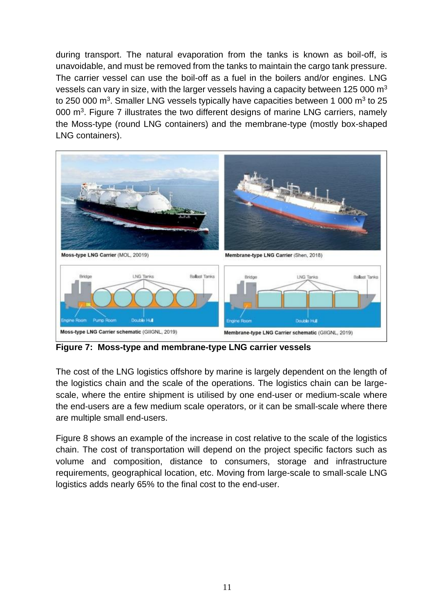during transport. The natural evaporation from the tanks is known as boil-off, is unavoidable, and must be removed from the tanks to maintain the cargo tank pressure. The carrier vessel can use the boil-off as a fuel in the boilers and/or engines. LNG vessels can vary in size, with the larger vessels having a capacity between 125 000  $m<sup>3</sup>$ to 250 000 m<sup>3</sup>. Smaller LNG vessels typically have capacities between 1 000 m<sup>3</sup> to 25 000  $\mathrm{m}^3$ . Figure 7 illustrates the two different designs of marine LNG carriers, namely the Moss-type (round LNG containers) and the membrane-type (mostly box-shaped LNG containers).



**Figure 7: Moss-type and membrane-type LNG carrier vessels**

The cost of the LNG logistics offshore by marine is largely dependent on the length of the logistics chain and the scale of the operations. The logistics chain can be largescale, where the entire shipment is utilised by one end-user or medium-scale where the end-users are a few medium scale operators, or it can be small-scale where there are multiple small end-users.

Figure 8 shows an example of the increase in cost relative to the scale of the logistics chain. The cost of transportation will depend on the project specific factors such as volume and composition, distance to consumers, storage and infrastructure requirements, geographical location, etc. Moving from large-scale to small-scale LNG logistics adds nearly 65% to the final cost to the end-user.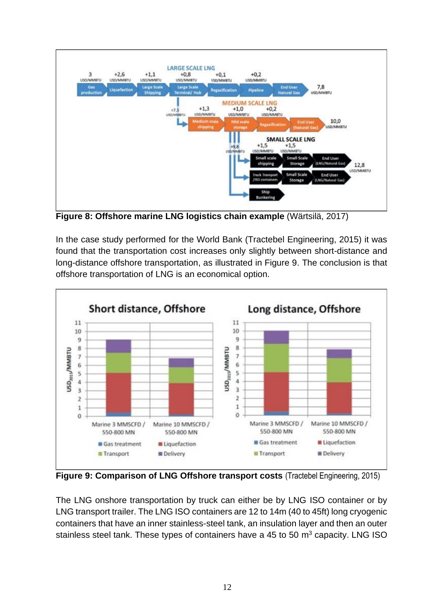

**Figure 8: Offshore marine LNG logistics chain example** (Wärtsilä, 2017)

In the case study performed for the World Bank (Tractebel Engineering, 2015) it was found that the transportation cost increases only slightly between short-distance and long-distance offshore transportation, as illustrated in Figure 9. The conclusion is that offshore transportation of LNG is an economical option.



**Figure 9: Comparison of LNG Offshore transport costs** (Tractebel Engineering, 2015)

The LNG onshore transportation by truck can either be by LNG ISO container or by LNG transport trailer. The LNG ISO containers are 12 to 14m (40 to 45ft) long cryogenic containers that have an inner stainless-steel tank, an insulation layer and then an outer stainless steel tank. These types of containers have a 45 to 50  $\mathrm{m}^3$  capacity. LNG ISO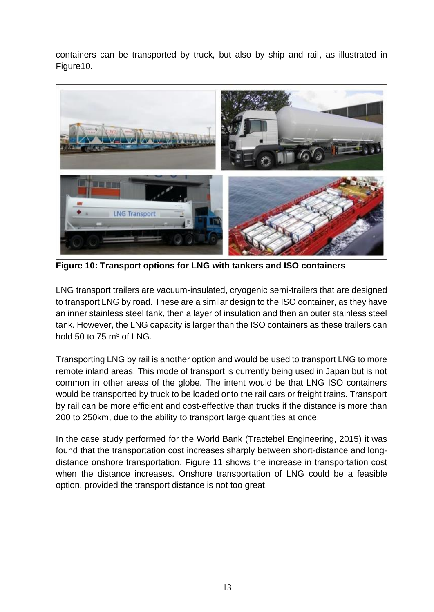containers can be transported by truck, but also by ship and rail, as illustrated in Figure10.



**Figure 10: Transport options for LNG with tankers and ISO containers**

LNG transport trailers are vacuum-insulated, cryogenic semi-trailers that are designed to transport LNG by road. These are a similar design to the ISO container, as they have an inner stainless steel tank, then a layer of insulation and then an outer stainless steel tank. However, the LNG capacity is larger than the ISO containers as these trailers can hold 50 to 75  $m<sup>3</sup>$  of LNG.

Transporting LNG by rail is another option and would be used to transport LNG to more remote inland areas. This mode of transport is currently being used in Japan but is not common in other areas of the globe. The intent would be that LNG ISO containers would be transported by truck to be loaded onto the rail cars or freight trains. Transport by rail can be more efficient and cost-effective than trucks if the distance is more than 200 to 250km, due to the ability to transport large quantities at once.

In the case study performed for the World Bank (Tractebel Engineering, 2015) it was found that the transportation cost increases sharply between short-distance and longdistance onshore transportation. Figure 11 shows the increase in transportation cost when the distance increases. Onshore transportation of LNG could be a feasible option, provided the transport distance is not too great.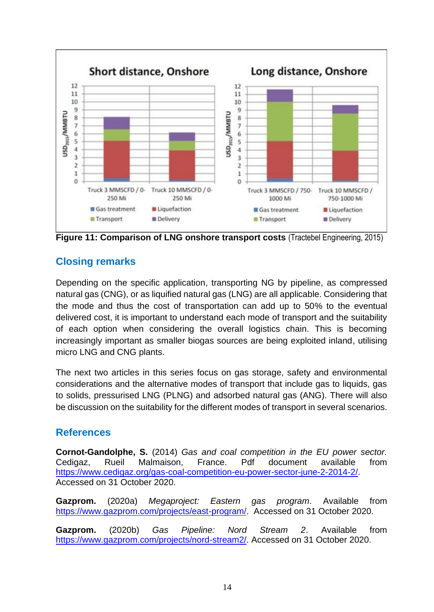

**Figure 11: Comparison of LNG onshore transport costs** (Tractebel Engineering, 2015)

# **Closing remarks**

Depending on the specific application, transporting NG by pipeline, as compressed natural gas (CNG), or as liquified natural gas (LNG) are all applicable. Considering that the mode and thus the cost of transportation can add up to 50% to the eventual delivered cost, it is important to understand each mode of transport and the suitability of each option when considering the overall logistics chain. This is becoming increasingly important as smaller biogas sources are being exploited inland, utilising micro LNG and CNG plants.

The next two articles in this series focus on gas storage, safety and environmental considerations and the alternative modes of transport that include gas to liquids, gas to solids, pressurised LNG (PLNG) and adsorbed natural gas (ANG). There will also be discussion on the suitability for the different modes of transport in several scenarios.

### **References**

**Cornot-Gandolphe, S.** (2014) *Gas and coal competition in the EU power sector.* Cedigaz, Rueil Malmaison, France. Pdf document available from [https://www.cedigaz.org/gas-coal-competition-eu-power-sector-june-2-2014-2/.](https://www.cedigaz.org/gas-coal-competition-eu-power-sector-june-2-2014-2/) Accessed on 31 October 2020.

**Gazprom.** (2020a) *Megaproject: Eastern gas program*. Available from [https://www.gazprom.com/projects/east-program/.](https://www.gazprom.com/projects/east-program/) Accessed on 31 October 2020.

**Gazprom.** (2020b) *Gas Pipeline: Nord Stream 2*. Available from [https://www.gazprom.com/projects/nord-stream2/.](https://www.gazprom.com/projects/nord-stream2/) Accessed on 31 October 2020.